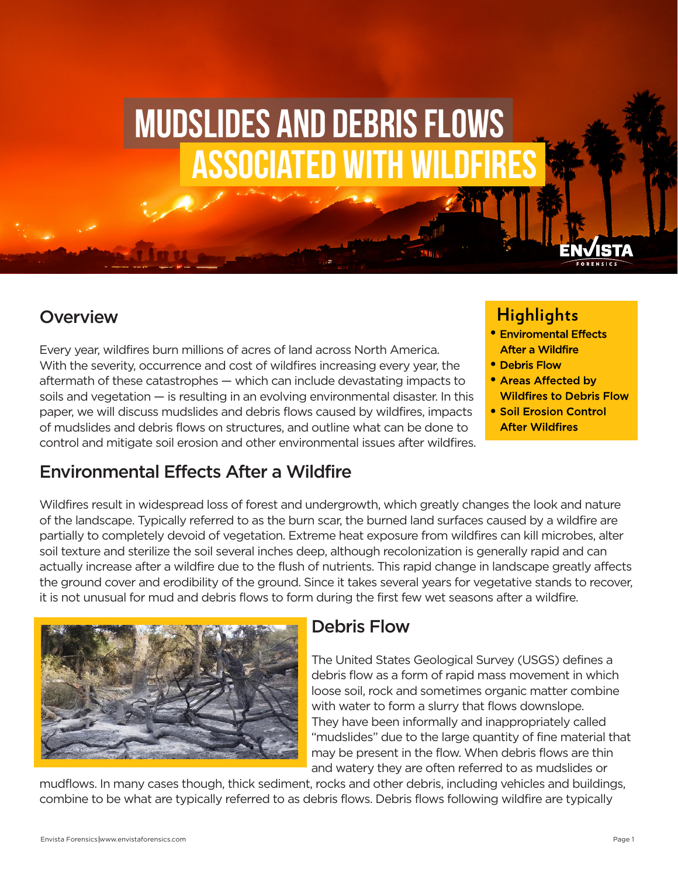# MUDSLIDES AND DEBRIS FLOWS **ASSOCIATED WITH WILDF**

#### **Overview**

Every year, wildfires burn millions of acres of land across North America. With the severity, occurrence and cost of wildfires increasing every year, the aftermath of these catastrophes — which can include devastating impacts to soils and vegetation — is resulting in an evolving environmental disaster. In this paper, we will discuss mudslides and debris flows caused by wildfires, impacts of mudslides and debris flows on structures, and outline what can be done to control and mitigate soil erosion and other environmental issues after wildfires.

## **Highlights**

- Enviromental Effects **After a Wildfire**
- Debris Flow
- Areas Affected by **Wildfires to Debris Flow**
- Soil Erosion Control **After Wildfires**

## Environmental Effects After a Wildfire

Wildfires result in widespread loss of forest and undergrowth, which greatly changes the look and nature of the landscape. Typically referred to as the burn scar, the burned land surfaces caused by a wildfire are partially to completely devoid of vegetation. Extreme heat exposure from wildfires can kill microbes, alter soil texture and sterilize the soil several inches deep, although recolonization is generally rapid and can actually increase after a wildfire due to the flush of nutrients. This rapid change in landscape greatly affects the ground cover and erodibility of the ground. Since it takes several years for vegetative stands to recover, it is not unusual for mud and debris flows to form during the first few wet seasons after a wildfire.



## Debris Flow

The United States Geological Survey (USGS) defines a debris flow as a form of rapid mass movement in which loose soil, rock and sometimes organic matter combine with water to form a slurry that flows downslope. They have been informally and inappropriately called "mudslides" due to the large quantity of fine material that may be present in the flow. When debris flows are thin and watery they are often referred to as mudslides or

mudflows. In many cases though, thick sediment, rocks and other debris, including vehicles and buildings, combine to be what are typically referred to as debris flows. Debris flows following wildfire are typically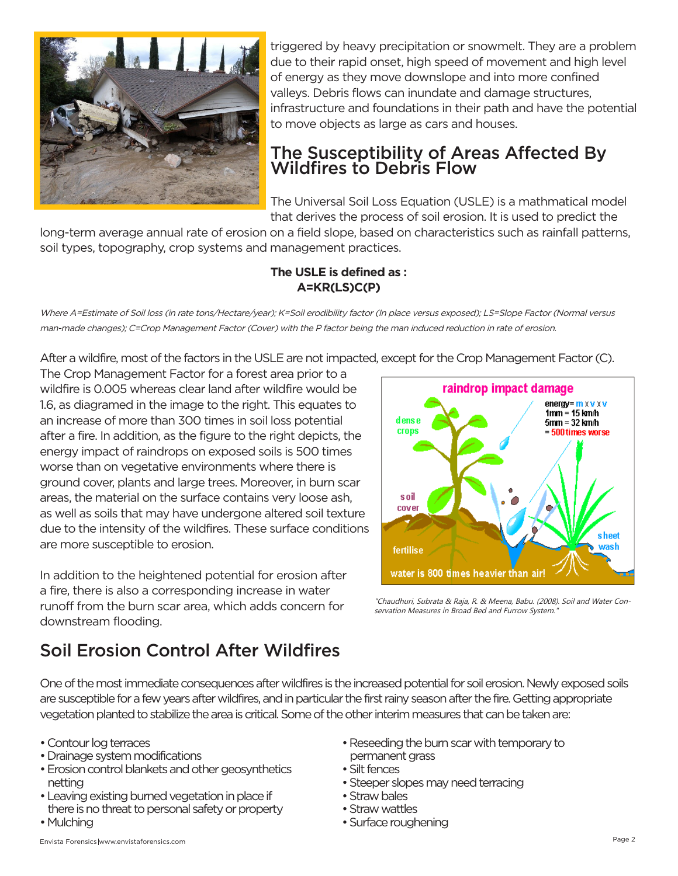

triggered by heavy precipitation or snowmelt. They are a problem due to their rapid onset, high speed of movement and high level of energy as they move downslope and into more confined valleys. Debris flows can inundate and damage structures, infrastructure and foundations in their path and have the potential to move objects as large as cars and houses.

#### The Susceptibility of Areas Affected By Wildfires to Debris Flow

The Universal Soil Loss Equation (USLE) is a mathmatical model that derives the process of soil erosion. It is used to predict the

long-term average annual rate of erosion on a field slope, based on characteristics such as rainfall patterns, soil types, topography, crop systems and management practices.

#### **The USLE is defined as : A=KR(LS)C(P)**

Where A=Estimate of Soil loss (in rate tons/Hectare/year); K=Soil erodibility factor (In place versus exposed); LS=Slope Factor (Normal versus man-made changes); C=Crop Management Factor (Cover) with the P factor being the man induced reduction in rate of erosion.

After a wildfire, most of the factors in the USLE are not impacted, except for the Crop Management Factor (C).

The Crop Management Factor for a forest area prior to a wildfire is 0.005 whereas clear land after wildfire would be 1.6, as diagramed in the image to the right. This equates to an increase of more than 300 times in soil loss potential after a fire. In addition, as the figure to the right depicts, the energy impact of raindrops on exposed soils is 500 times worse than on vegetative environments where there is ground cover, plants and large trees. Moreover, in burn scar areas, the material on the surface contains very loose ash, as well as soils that may have undergone altered soil texture due to the intensity of the wildfires. These surface conditions are more susceptible to erosion.

In addition to the heightened potential for erosion after a fire, there is also a corresponding increase in water runoff from the burn scar area, which adds concern for downstream flooding.



"Chaudhuri, Subrata & Raja, R. & Meena, Babu. (2008). Soil and Water Conservation Measures in Broad Bed and Furrow System.

# Soil Erosion Control After Wildfires

One of the most immediate consequences after wildfires is the increased potential for soil erosion. Newly exposed soils are susceptible for a few years after wildfires, and in particular the first rainy season after the fire. Getting appropriate vegetation planted to stabilize the area is critical. Some of the other interim measures that can be taken are:

- Contour log terraces
- Drainage system modifications
- Erosion control blankets and other geosynthetics netting
- Leaving existing burned vegetation in place if there is no threat to personal safety or property
- Mulching
- Silt fences
- Steeper slopes may need terracing
- Straw bales
- Straw wattles
- Surface roughening